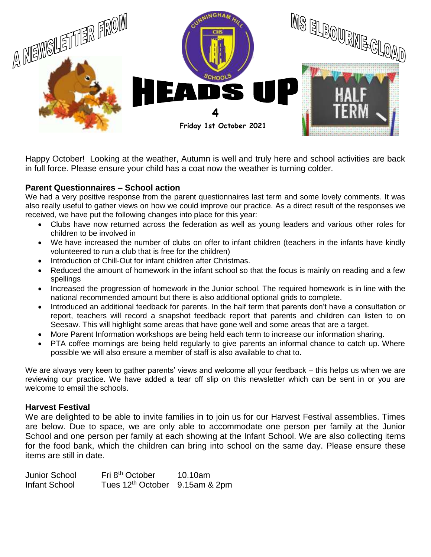

Happy October! Looking at the weather, Autumn is well and truly here and school activities are back in full force. Please ensure your child has a coat now the weather is turning colder.

## **Parent Questionnaires – School action**

We had a very positive response from the parent questionnaires last term and some lovely comments. It was also really useful to gather views on how we could improve our practice. As a direct result of the responses we received, we have put the following changes into place for this year:

- Clubs have now returned across the federation as well as young leaders and various other roles for children to be involved in
- We have increased the number of clubs on offer to infant children (teachers in the infants have kindly volunteered to run a club that is free for the children)
- Introduction of Chill-Out for infant children after Christmas.
- Reduced the amount of homework in the infant school so that the focus is mainly on reading and a few spellings
- Increased the progression of homework in the Junior school. The required homework is in line with the national recommended amount but there is also additional optional grids to complete.
- Introduced an additional feedback for parents. In the half term that parents don't have a consultation or report, teachers will record a snapshot feedback report that parents and children can listen to on Seesaw. This will highlight some areas that have gone well and some areas that are a target.
- More Parent Information workshops are being held each term to increase our information sharing.
- PTA coffee mornings are being held regularly to give parents an informal chance to catch up. Where possible we will also ensure a member of staff is also available to chat to.

We are always very keen to gather parents' views and welcome all your feedback – this helps us when we are reviewing our practice. We have added a tear off slip on this newsletter which can be sent in or you are welcome to email the schools.

## **Harvest Festival**

We are delighted to be able to invite families in to join us for our Harvest Festival assemblies. Times are below. Due to space, we are only able to accommodate one person per family at the Junior School and one person per family at each showing at the Infant School. We are also collecting items for the food bank, which the children can bring into school on the same day. Please ensure these items are still in date.

Junior School Fri 8th October 10.10am Infant School Tues 12th October 9.15am & 2pm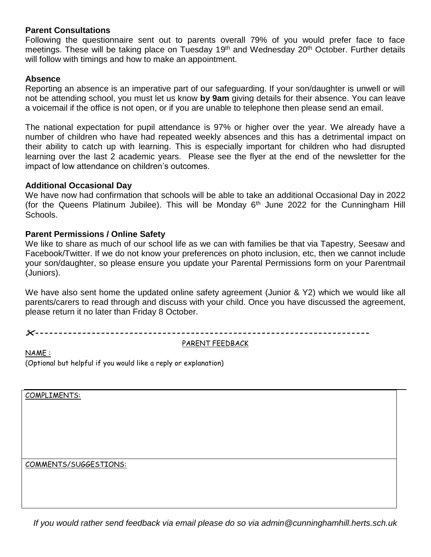## **Parent Consultations**

Following the questionnaire sent out to parents overall 79% of you would prefer face to face meetings. These will be taking place on Tuesday 19<sup>th</sup> and Wednesday 20<sup>th</sup> October. Further details will follow with timings and how to make an appointment.

## **Absence**

Reporting an absence is an imperative part of our safeguarding. If your son/daughter is unwell or will not be attending school, you must let us know **by 9am** giving details for their absence. You can leave a voicemail if the office is not open, or if you are unable to telephone then please send an email.

The national expectation for pupil attendance is 97% or higher over the year. We already have a number of children who have had repeated weekly absences and this has a detrimental impact on their ability to catch up with learning. This is especially important for children who had disrupted learning over the last 2 academic years. Please see the flyer at the end of the newsletter for the impact of low attendance on children's outcomes.

## **Additional Occasional Day**

We have now had confirmation that schools will be able to take an additional Occasional Day in 2022 (for the Queens Platinum Jubilee). This will be Monday  $6<sup>th</sup>$  June 2022 for the Cunningham Hill Schools.

## **Parent Permissions / Online Safety**

We like to share as much of our school life as we can with families be that via Tapestry, Seesaw and Facebook/Twitter. If we do not know your preferences on photo inclusion, etc, then we cannot include your son/daughter, so please ensure you update your Parental Permissions form on your Parentmail (Juniors).

We have also sent home the updated online safety agreement (Junior & Y2) which we would like all parents/carers to read through and discuss with your child. Once you have discussed the agreement, please return it no later than Friday 8 October.

*-----------------------------------------------------------------------*

PARENT FEEDBACK

NAME : (Optional but helpful if you would like a reply or explanation)

COMPLIMENTS:

COMMENTS/SUGGESTIONS:

*If you would rather send feedback via email please do so via admin@cunninghamhill.herts.sch.uk*